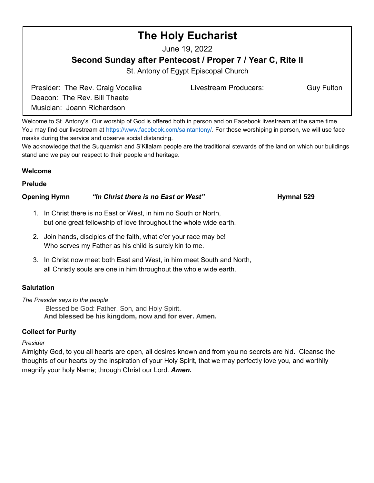# **The Holy Eucharist**

June 19, 2022

**Second Sunday after Pentecost / Proper 7 / Year C, Rite II**

St. Antony of Egypt Episcopal Church

Presider: The Rev. Craig Vocelka Deacon: The Rev. Bill Thaete Musician: Joann Richardson

Welcome to St. Antony's. Our worship of God is offered both in person and on Facebook livestream at the same time. You may find our livestream at [https://www.facebook.com/saintantony/.](https://www.facebook.com/saintantony/) For those worshiping in person, we will use face masks during the service and observe social distancing.

We acknowledge that the Suquamish and S'Kllalam people are the traditional stewards of the land on which our buildings stand and we pay our respect to their people and heritage.

### **Welcome**

**Prelude**

# **Opening Hymn** *<i>"In Christ there is no East or West"* **Hymnal 529**

- 1. In Christ there is no East or West, in him no South or North, but one great fellowship of love throughout the whole wide earth.
- 2. Join hands, disciples of the faith, what e'er your race may be! Who serves my Father as his child is surely kin to me.
- 3. In Christ now meet both East and West, in him meet South and North, all Christly souls are one in him throughout the whole wide earth.

# **Salutation**

### *The Presider says to the people*

 Blessed be God: Father, Son, and Holy Spirit. **And blessed be his kingdom, now and for ever. Amen.**

# **Collect for Purity**

### *Presider*

Almighty God, to you all hearts are open, all desires known and from you no secrets are hid. Cleanse the thoughts of our hearts by the inspiration of your Holy Spirit, that we may perfectly love you, and worthily magnify your holy Name; through Christ our Lord. *Amen.*

Livestream Producers: Guy Fulton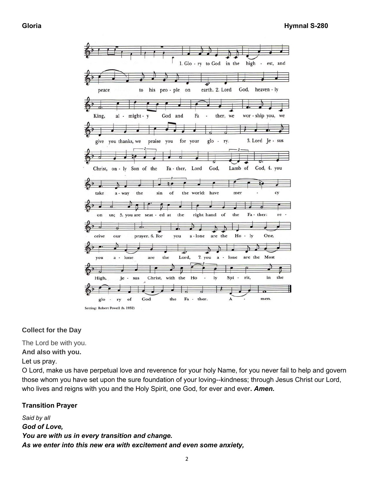

#### **Collect for the Day**

The Lord be with you.

**And also with you.**

Let us pray.

O Lord, make us have perpetual love and reverence for your holy Name, for you never fail to help and govern those whom you have set upon the sure foundation of your loving--kindness; through Jesus Christ our Lord, who lives and reigns with you and the Holy Spirit, one God, for ever and ever**.** *Amen.*

#### **Transition Prayer**

*Said by all God of Love, You are with us in every transition and change. As we enter into this new era with excitement and even some anxiety,*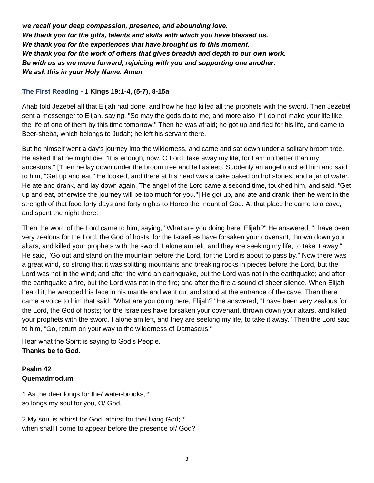*we recall your deep compassion, presence, and abounding love. We thank you for the gifts, talents and skills with which you have blessed us. We thank you for the experiences that have brought us to this moment. We thank you for the work of others that gives breadth and depth to our own work. Be with us as we move forward, rejoicing with you and supporting one another. We ask this in your Holy Name. Amen*

### **The First Reading - 1 Kings 19:1-4, (5-7), 8-15a**

Ahab told Jezebel all that Elijah had done, and how he had killed all the prophets with the sword. Then Jezebel sent a messenger to Elijah, saying, "So may the gods do to me, and more also, if I do not make your life like the life of one of them by this time tomorrow." Then he was afraid; he got up and fled for his life, and came to Beer-sheba, which belongs to Judah; he left his servant there.

But he himself went a day's journey into the wilderness, and came and sat down under a solitary broom tree. He asked that he might die: "It is enough; now, O Lord, take away my life, for I am no better than my ancestors." [Then he lay down under the broom tree and fell asleep. Suddenly an angel touched him and said to him, "Get up and eat." He looked, and there at his head was a cake baked on hot stones, and a jar of water. He ate and drank, and lay down again. The angel of the Lord came a second time, touched him, and said, "Get up and eat, otherwise the journey will be too much for you."] He got up, and ate and drank; then he went in the strength of that food forty days and forty nights to Horeb the mount of God. At that place he came to a cave, and spent the night there.

Then the word of the Lord came to him, saying, "What are you doing here, Elijah?" He answered, "I have been very zealous for the Lord, the God of hosts; for the Israelites have forsaken your covenant, thrown down your altars, and killed your prophets with the sword. I alone am left, and they are seeking my life, to take it away." He said, "Go out and stand on the mountain before the Lord, for the Lord is about to pass by." Now there was a great wind, so strong that it was splitting mountains and breaking rocks in pieces before the Lord, but the Lord was not in the wind; and after the wind an earthquake, but the Lord was not in the earthquake; and after the earthquake a fire, but the Lord was not in the fire; and after the fire a sound of sheer silence. When Elijah heard it, he wrapped his face in his mantle and went out and stood at the entrance of the cave. Then there came a voice to him that said, "What are you doing here, Elijah?" He answered, "I have been very zealous for the Lord, the God of hosts; for the Israelites have forsaken your covenant, thrown down your altars, and killed your prophets with the sword. I alone am left, and they are seeking my life, to take it away." Then the Lord said to him, "Go, return on your way to the wilderness of Damascus."

Hear what the Spirit is saying to God's People. **Thanks be to God.**

### **Psalm 42 Quemadmodum**

1 As the deer longs for the/ water-brooks, \* so longs my soul for you, O/ God.

2 My soul is athirst for God, athirst for the/ living God; \* when shall I come to appear before the presence of/ God?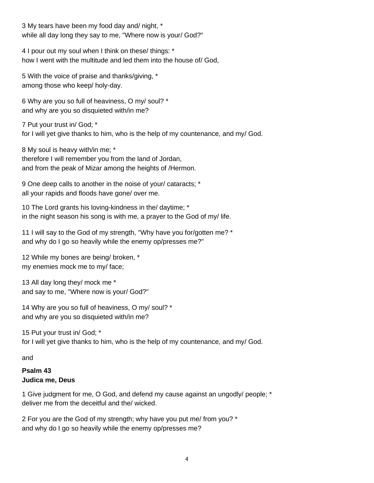3 My tears have been my food day and/ night, \* while all day long they say to me, "Where now is your/ God?"

4 I pour out my soul when I think on these/ things: \* how I went with the multitude and led them into the house of/ God,

5 With the voice of praise and thanks/giving, \* among those who keep/ holy-day.

6 Why are you so full of heaviness, O my/ soul? \* and why are you so disquieted with/in me?

7 Put your trust in/ God; \* for I will yet give thanks to him, who is the help of my countenance, and my/ God.

8 My soul is heavy with/in me; \* therefore I will remember you from the land of Jordan, and from the peak of Mizar among the heights of /Hermon.

9 One deep calls to another in the noise of your/ cataracts; \* all your rapids and floods have gone/ over me.

10 The Lord grants his loving-kindness in the/ daytime; \* in the night season his song is with me, a prayer to the God of my/ life.

11 I will say to the God of my strength, "Why have you for/gotten me? \* and why do I go so heavily while the enemy op/presses me?"

12 While my bones are being/ broken, \* my enemies mock me to my/ face;

13 All day long they/ mock me \* and say to me, "Where now is your/ God?"

14 Why are you so full of heaviness, O my/ soul? \* and why are you so disquieted with/in me?

15 Put your trust in/ God; \* for I will yet give thanks to him, who is the help of my countenance, and my/ God.

and

# **Psalm 43 Judica me, Deus**

1 Give judgment for me, O God, and defend my cause against an ungodly/ people; \* deliver me from the deceitful and the/ wicked.

2 For you are the God of my strength; why have you put me/ from you? \* and why do I go so heavily while the enemy op/presses me?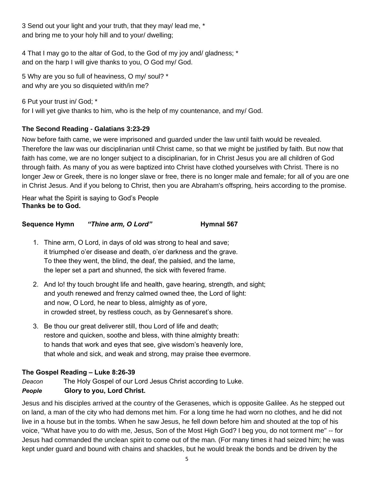3 Send out your light and your truth, that they may/ lead me, \* and bring me to your holy hill and to your/ dwelling;

4 That I may go to the altar of God, to the God of my joy and/ gladness; \* and on the harp I will give thanks to you, O God my/ God.

5 Why are you so full of heaviness, O my/ soul? \* and why are you so disquieted with/in me?

6 Put your trust in/ God; \* for I will yet give thanks to him, who is the help of my countenance, and my/ God.

# **The Second Reading - Galatians 3:23-29**

Now before faith came, we were imprisoned and guarded under the law until faith would be revealed. Therefore the law was our disciplinarian until Christ came, so that we might be justified by faith. But now that faith has come, we are no longer subject to a disciplinarian, for in Christ Jesus you are all children of God through faith. As many of you as were baptized into Christ have clothed yourselves with Christ. There is no longer Jew or Greek, there is no longer slave or free, there is no longer male and female; for all of you are one in Christ Jesus. And if you belong to Christ, then you are Abraham's offspring, heirs according to the promise.

Hear what the Spirit is saying to God's People **Thanks be to God.**

# **Sequence Hymn** *"Thine arm, O Lord"* **Hymnal 567**

- 1. Thine arm, O Lord, in days of old was strong to heal and save; it triumphed o'er disease and death, o'er darkness and the grave. To thee they went, the blind, the deaf, the palsied, and the lame, the leper set a part and shunned, the sick with fevered frame.
- 2. And lo! thy touch brought life and health, gave hearing, strength, and sight; and youth renewed and frenzy calmed owned thee, the Lord of light: and now, O Lord, he near to bless, almighty as of yore, in crowded street, by restless couch, as by Gennesaret's shore.
- 3. Be thou our great deliverer still, thou Lord of life and death; restore and quicken, soothe and bless, with thine almighty breath: to hands that work and eyes that see, give wisdom's heavenly lore, that whole and sick, and weak and strong, may praise thee evermore.

# **The Gospel Reading – Luke 8:26-39**

*Deacon* The Holy Gospel of our Lord Jesus Christ according to Luke.

# *People* **Glory to you, Lord Christ.**

Jesus and his disciples arrived at the country of the Gerasenes, which is opposite Galilee. As he stepped out on land, a man of the city who had demons met him. For a long time he had worn no clothes, and he did not live in a house but in the tombs. When he saw Jesus, he fell down before him and shouted at the top of his voice, "What have you to do with me, Jesus, Son of the Most High God? I beg you, do not torment me" -- for Jesus had commanded the unclean spirit to come out of the man. (For many times it had seized him; he was kept under guard and bound with chains and shackles, but he would break the bonds and be driven by the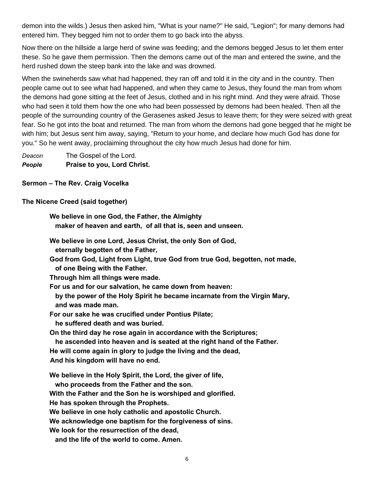demon into the wilds.) Jesus then asked him, "What is your name?" He said, "Legion"; for many demons had entered him. They begged him not to order them to go back into the abyss.

Now there on the hillside a large herd of swine was feeding; and the demons begged Jesus to let them enter these. So he gave them permission. Then the demons came out of the man and entered the swine, and the herd rushed down the steep bank into the lake and was drowned.

When the swineherds saw what had happened, they ran off and told it in the city and in the country. Then people came out to see what had happened, and when they came to Jesus, they found the man from whom the demons had gone sitting at the feet of Jesus, clothed and in his right mind. And they were afraid. Those who had seen it told them how the one who had been possessed by demons had been healed. Then all the people of the surrounding country of the Gerasenes asked Jesus to leave them; for they were seized with great fear. So he got into the boat and returned. The man from whom the demons had gone begged that he might be with him; but Jesus sent him away, saying, "Return to your home, and declare how much God has done for you." So he went away, proclaiming throughout the city how much Jesus had done for him.

*Deacon* The Gospel of the Lord. *People* **Praise to you, Lord Christ.**

**Sermon – The Rev. Craig Vocelka**

**The Nicene Creed (said together)**

 **We believe in one God, the Father, the Almighty maker of heaven and earth, of all that is, seen and unseen.**

 **We believe in one Lord, Jesus Christ, the only Son of God, eternally begotten of the Father,**

 **God from God, Light from Light, true God from true God, begotten, not made, of one Being with the Father.**

 **Through him all things were made.**

 **For us and for our salvation, he came down from heaven:**

 **by the power of the Holy Spirit he became incarnate from the Virgin Mary, and was made man.**

 **For our sake he was crucified under Pontius Pilate;**

 **he suffered death and was buried.**

 **On the third day he rose again in accordance with the Scriptures;**

 **he ascended into heaven and is seated at the right hand of the Father.**

 **He will come again in glory to judge the living and the dead,**

 **And his kingdom will have no end.**

**We believe in the Holy Spirit, the Lord, the giver of life,**

 **who proceeds from the Father and the son.**

**With the Father and the Son he is worshiped and glorified.**

**He has spoken through the Prophets.**

**We believe in one holy catholic and apostolic Church.**

**We acknowledge one baptism for the forgiveness of sins.**

**We look for the resurrection of the dead,**

 **and the life of the world to come. Amen.**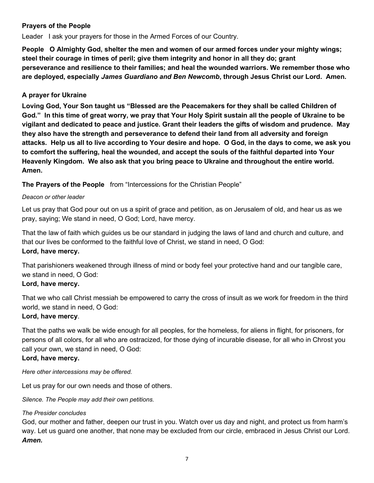#### **Prayers of the People**

LeaderI ask your prayers for those in the Armed Forces of our Country.

**People O Almighty God, shelter the men and women of our armed forces under your mighty wings; steel their courage in times of peril; give them integrity and honor in all they do; grant perseverance and resilience to their families; and heal the wounded warriors. We remember those who are deployed, especially** *James Guardiano and Ben Newcomb***, through Jesus Christ our Lord. Amen.**

#### **A prayer for Ukraine**

**Loving God, Your Son taught us "Blessed are the Peacemakers for they shall be called Children of God." In this time of great worry, we pray that Your Holy Spirit sustain all the people of Ukraine to be vigilant and dedicated to peace and justice. Grant their leaders the gifts of wisdom and prudence. May they also have the strength and perseverance to defend their land from all adversity and foreign attacks. Help us all to live according to Your desire and hope. O God, in the days to come, we ask you to comfort the suffering, heal the wounded, and accept the souls of the faithful departed into Your Heavenly Kingdom. We also ask that you bring peace to Ukraine and throughout the entire world. Amen.**

**The Prayers of the People** from "Intercessions for the Christian People"

#### *Deacon or other leader*

Let us pray that God pour out on us a spirit of grace and petition, as on Jerusalem of old, and hear us as we pray, saying; We stand in need, O God; Lord, have mercy.

That the law of faith which guides us be our standard in judging the laws of land and church and culture, and that our lives be conformed to the faithful love of Christ, we stand in need, O God: **Lord, have mercy.**

That parishioners weakened through illness of mind or body feel your protective hand and our tangible care, we stand in need, O God:

#### **Lord, have mercy.**

That we who call Christ messiah be empowered to carry the cross of insult as we work for freedom in the third world, we stand in need, O God:

#### **Lord, have mercy**.

That the paths we walk be wide enough for all peoples, for the homeless, for aliens in flight, for prisoners, for persons of all colors, for all who are ostracized, for those dying of incurable disease, for all who in Chrost you call your own, we stand in need, O God:

#### **Lord, have mercy.**

*Here other intercessions may be offered.*

Let us pray for our own needs and those of others.

*Silence. The People may add their own petitions.*

#### *The Presider concludes*

God, our mother and father, deepen our trust in you. Watch over us day and night, and protect us from harm's way. Let us guard one another, that none may be excluded from our circle, embraced in Jesus Christ our Lord. *Amen.*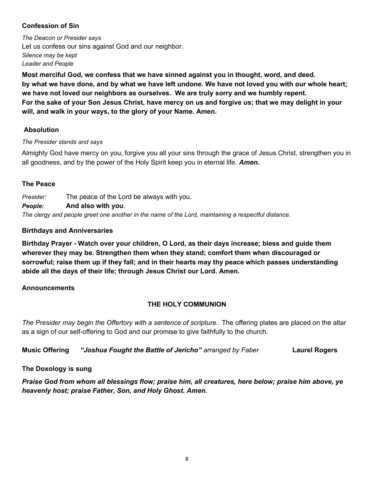## **Confession of Sin**

*The Deacon or Presider says* Let us confess our sins against God and our neighbor. *Silence may be kept Leader and People*

**Most merciful God, we confess that we have sinned against you in thought, word, and deed. by what we have done, and by what we have left undone. We have not loved you with our whole heart; we have not loved our neighbors as ourselves. We are truly sorry and we humbly repent. For the sake of your Son Jesus Christ, have mercy on us and forgive us; that we may delight in your will, and walk in your ways, to the glory of your Name. Amen.** 

#### **Absolution**

#### *The Presider stands and says*

Almighty God have mercy on you, forgive you all your sins through the grace of Jesus Christ, strengthen you in all goodness, and by the power of the Holy Spirit keep you in eternal life. *Amen.*

#### **The Peace**

*Presider:* The peace of the Lord be always with you. *People:* **And also with you**. *The clergy and people greet one another in the name of the Lord, maintaining a respectful distance.*

#### **Birthdays and Anniversaries**

**Birthday Prayer - Watch over your children, O Lord, as their days increase; bless and guide them wherever they may be. Strengthen them when they stand; comfort them when discouraged or sorrowful; raise them up if they fall; and in their hearts may thy peace which passes understanding abide all the days of their life; through Jesus Christ our Lord. Amen.**

### **Announcements**

### **THE HOLY COMMUNION**

*The Presider may begin the Offertory with a sentence of scripture..* The offering plates are placed on the altar as a sign of our self-offering to God and our promise to give faithfully to the church.

**Music Offering** *"Joshua Fought the Battle of Jericho" arranged by Faber* **Laurel Rogers**

### **The Doxology is sung**

*Praise God from whom all blessings flow; praise him, all creatures, here below; praise him above, ye heavenly host; praise Father, Son, and Holy Ghost. Amen.*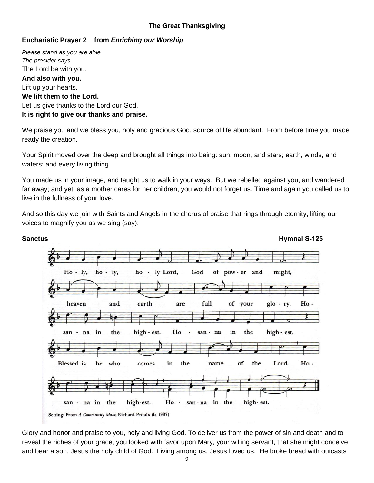#### **The Great Thanksgiving**

#### **Eucharistic Prayer 2 from** *Enriching our Worship*

*Please stand as you are able The presider says* The Lord be with you. **And also with you.** Lift up your hearts. **We lift them to the Lord.** Let us give thanks to the Lord our God. **It is right to give our thanks and praise.** 

We praise you and we bless you, holy and gracious God, source of life abundant. From before time you made ready the creation.

Your Spirit moved over the deep and brought all things into being: sun, moon, and stars; earth, winds, and waters; and every living thing.

You made us in your image, and taught us to walk in your ways. But we rebelled against you, and wandered far away; and yet, as a mother cares for her children, you would not forget us. Time and again you called us to live in the fullness of your love.

And so this day we join with Saints and Angels in the chorus of praise that rings through eternity, lifting our voices to magnify you as we sing (say):



Glory and honor and praise to you, holy and living God. To deliver us from the power of sin and death and to reveal the riches of your grace, you looked with favor upon Mary, your willing servant, that she might conceive and bear a son, Jesus the holy child of God. Living among us, Jesus loved us. He broke bread with outcasts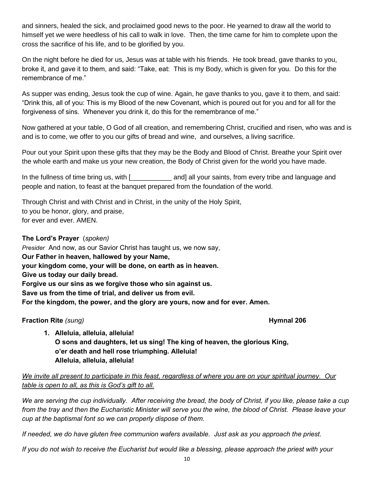and sinners, healed the sick, and proclaimed good news to the poor. He yearned to draw all the world to himself yet we were heedless of his call to walk in love. Then, the time came for him to complete upon the cross the sacrifice of his life, and to be glorified by you.

On the night before he died for us, Jesus was at table with his friends. He took bread, gave thanks to you, broke it, and gave it to them, and said: "Take, eat: This is my Body, which is given for you. Do this for the remembrance of me."

As supper was ending, Jesus took the cup of wine. Again, he gave thanks to you, gave it to them, and said: "Drink this, all of you: This is my Blood of the new Covenant, which is poured out for you and for all for the forgiveness of sins. Whenever you drink it, do this for the remembrance of me."

Now gathered at your table, O God of all creation, and remembering Christ, crucified and risen, who was and is and is to come, we offer to you our gifts of bread and wine, and ourselves, a living sacrifice.

Pour out your Spirit upon these gifts that they may be the Body and Blood of Christ. Breathe your Spirit over the whole earth and make us your new creation, the Body of Christ given for the world you have made.

In the fullness of time bring us, with [\_\_\_\_\_\_\_\_\_\_\_\_\_ and] all your saints, from every tribe and language and people and nation, to feast at the banquet prepared from the foundation of the world.

Through Christ and with Christ and in Christ, in the unity of the Holy Spirit, to you be honor, glory, and praise, for ever and ever. AMEN.

**The Lord's Prayer** (*spoken)* 

*Presider* And now, as our Savior Christ has taught us, we now say,

**Our Father in heaven, hallowed by your Name,**

**your kingdom come, your will be done, on earth as in heaven.**

**Give us today our daily bread.** 

**Forgive us our sins as we forgive those who sin against us.** 

**Save us from the time of trial, and deliver us from evil.**

**For the kingdom, the power, and the glory are yours, now and for ever. Amen.**

# **Fraction Rite** *(sung)* **Hymnal 206**

**1. Alleluia, alleluia, alleluia! O sons and daughters, let us sing! The king of heaven, the glorious King, o'er death and hell rose triumphing. Alleluia! Alleluia, alleluia, alleluia!**

# *We invite all present to participate in this feast, regardless of where you are on your spiritual journey. Our table is open to all, as this is God's gift to all.*

*We are serving the cup individually. After receiving the bread, the body of Christ, if you like, please take a cup from the tray and then the Eucharistic Minister will serve you the wine, the blood of Christ. Please leave your cup at the baptismal font so we can properly dispose of them.* 

*If needed, we do have gluten free communion wafers available. Just ask as you approach the priest.* 

*If you do not wish to receive the Eucharist but would like a blessing, please approach the priest with your*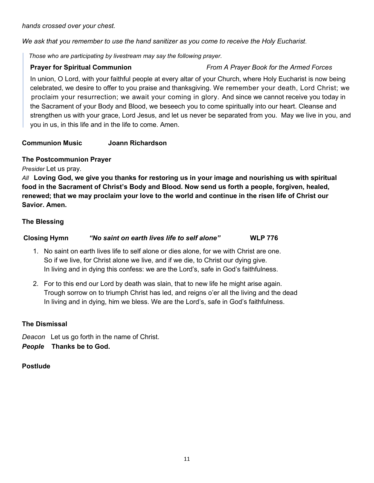*hands crossed over your chest.* 

*We ask that you remember to use the hand sanitizer as you come to receive the Holy Eucharist.*

 *Those who are participating by livestream may say the following prayer.*

# **Prayer for Spiritual Communion** *From A Prayer Book for the Armed Forces*

 In union, O Lord, with your faithful people at every altar of your Church, where Holy Eucharist is now being celebrated, we desire to offer to you praise and thanksgiving. We remember your death, Lord Christ; we proclaim your resurrection; we await your coming in glory. And since we cannot receive you today in the Sacrament of your Body and Blood, we beseech you to come spiritually into our heart. Cleanse and strengthen us with your grace, Lord Jesus, and let us never be separated from you. May we live in you, and you in us, in this life and in the life to come. Amen.

# **Communion Music Joann Richardson**

# **The Postcommunion Prayer**

*Presider* Let us pray.

*All* **Loving God, we give you thanks for restoring us in your image and nourishing us with spiritual food in the Sacrament of Christ's Body and Blood. Now send us forth a people, forgiven, healed, renewed; that we may proclaim your love to the world and continue in the risen life of Christ our Savior. Amen.**

# **The Blessing**

# **Closing Hymn** *"No saint on earth lives life to self alone"* **WLP 776**

- 1. No saint on earth lives life to self alone or dies alone, for we with Christ are one. So if we live, for Christ alone we live, and if we die, to Christ our dying give. In living and in dying this confess: we are the Lord's, safe in God's faithfulness.
- 2. For to this end our Lord by death was slain, that to new life he might arise again. Trough sorrow on to triumph Christ has led, and reigns o'er all the living and the dead In living and in dying, him we bless. We are the Lord's, safe in God's faithfulness.

### **The Dismissal**

*Deacon* Let us go forth in the name of Christ. *People* **Thanks be to God.** 

### **Postlude**